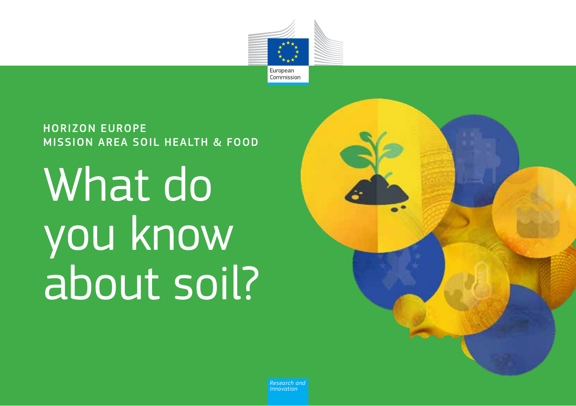

HORIZON EUROPE MISSION AREA SOIL HEALTH & FOOD

What do you know about soil?



*Research and Innovation*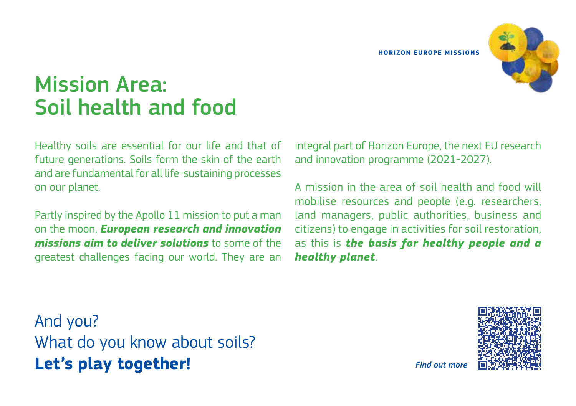

# Mission Area: Soil health and food

Healthy soils are essential for our life and that of future generations. Soils form the skin of the earth and are fundamental for all life-sustaining processes on our planet.

Partly inspired by the Apollo 11 mission to put a man on the moon, *European research and innovation missions aim to deliver solutions* to some of the greatest challenges facing our world. They are an integral part of Horizon Europe, the next EU research and innovation programme (2021-2027).

A mission in the area of soil health and food will mobilise resources and people (e.g. researchers, land managers, public authorities, business and citizens) to engage in activities for soil restoration, as this is *the basis for healthy people and a healthy planet*.

And you? What do you know about soils? **Let's play together!**



*Find out more*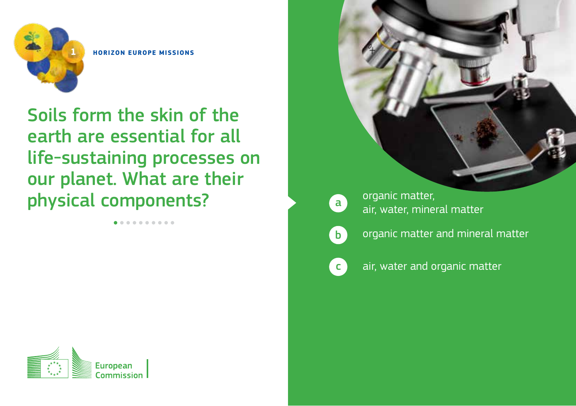

Soils form the skin of the earth are essential for all life-sustaining processes on our planet. What are their physical components?

. . . . . . . . . .



Commission

 $\mathbf{a}$ organic matter, air, water, mineral matter



 $\epsilon$ 

organic matter and mineral matter

air, water and organic matter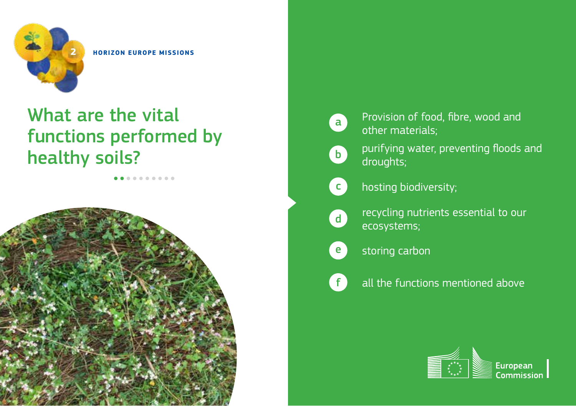

.......

# What are the vital functions performed by healthy soils?



d

f

- Provision of food, fibre, wood and other materials;
- purifying water, preventing floods and droughts;
- hosting biodiversity;
	- recycling nutrients essential to our ecosystems;
- storing carbon e
	- all the functions mentioned above

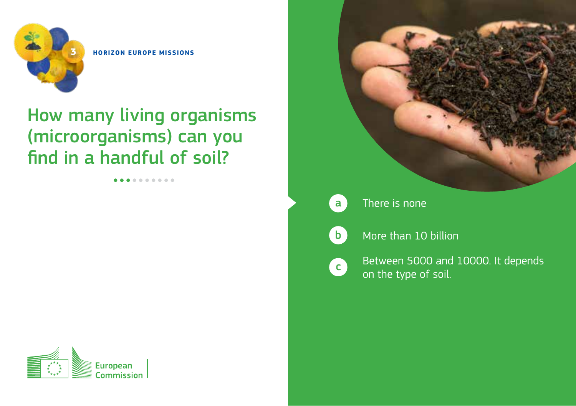

### How many living organisms (microorganisms) can you find in a handful of soil?

..........







There is none

 $\mathbf{b}$ 

c

More than 10 billion

Between 5000 and 10000. It depends on the type of soil.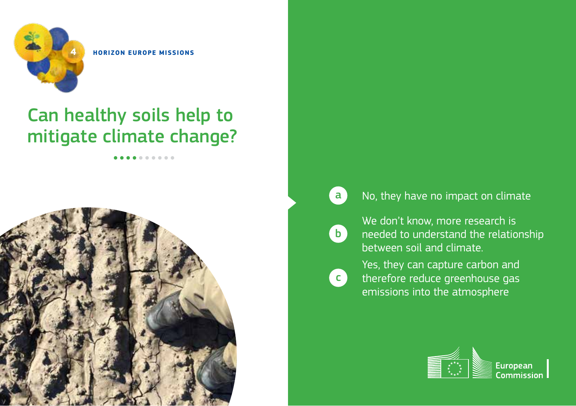

# Can healthy soils help to mitigate climate change?

. . . . . .



#### a No, they have no impact on climate

b

**c** 

We don't know, more research is needed to understand the relationship between soil and climate.

Yes, they can capture carbon and therefore reduce greenhouse gas emissions into the atmosphere

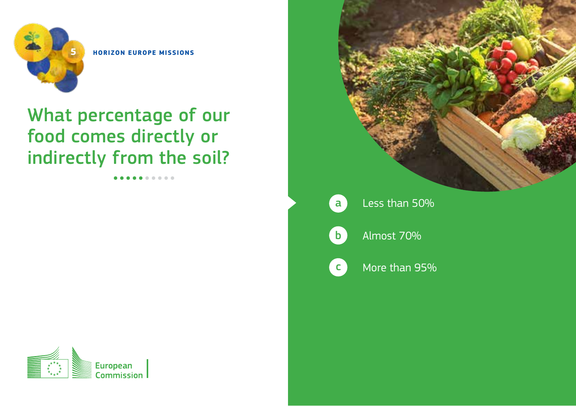

## What percentage of our food comes directly or indirectly from the soil?



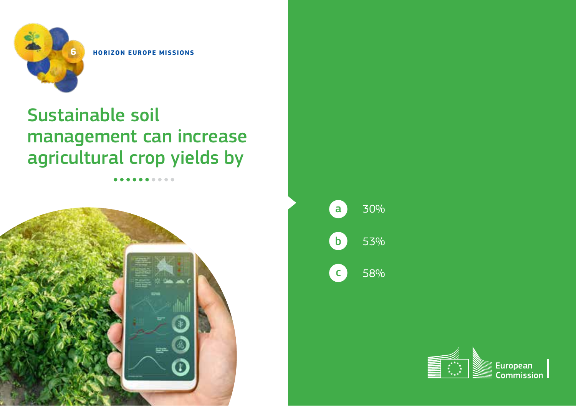

# Sustainable soil management can increase agricultural crop yields by



| a | 30% |
|---|-----|
| b | 53% |
|   | 58% |

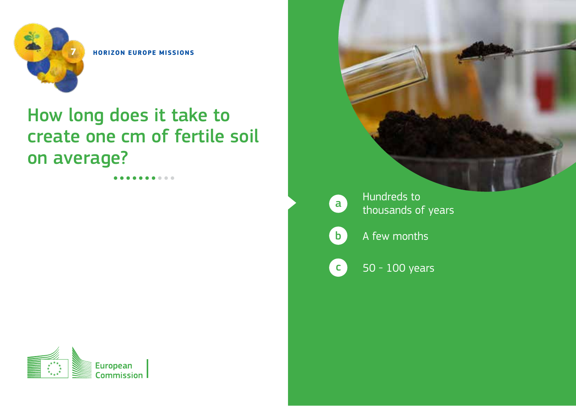

# How long does it take to create one cm of fertile soil on average?

**ALCOHOL:** 



50 - 100 years Hundreds to thousands of years A few months a b c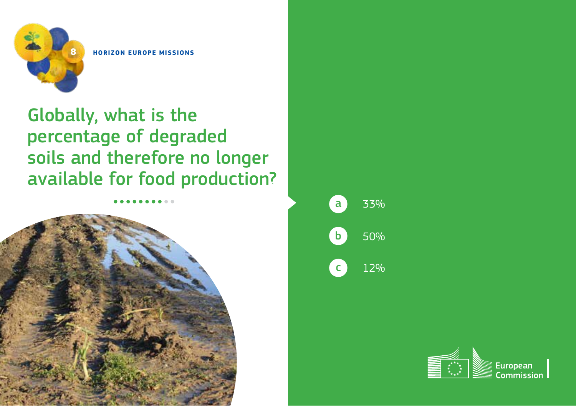

Globally, what is the percentage of degraded soils and therefore no longer available for food production?





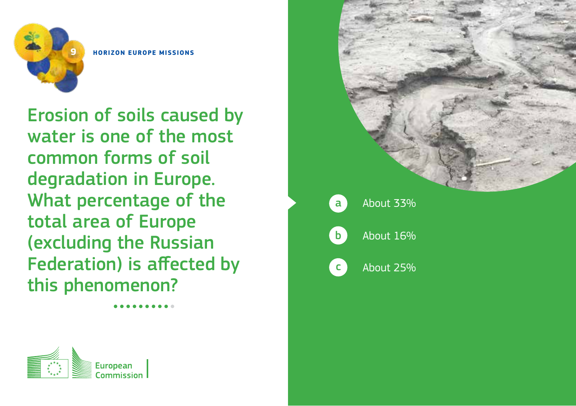

Erosion of soils caused by water is one of the most common forms of soil degradation in Europe. What percentage of the total area of Europe (excluding the Russian Federation) is affected by this phenomenon?



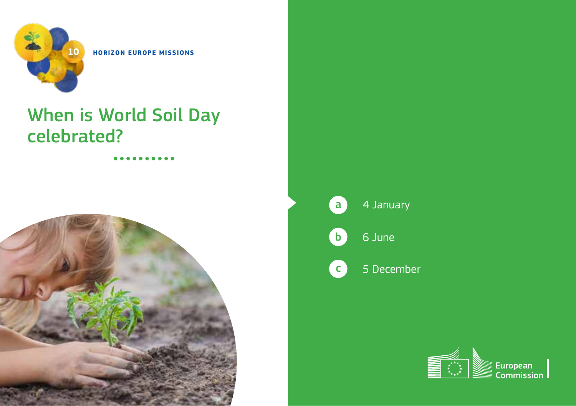

# When is World Soil Day celebrated?



5 December

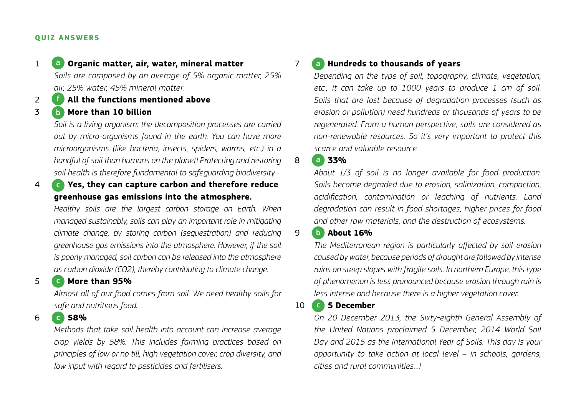### **QUIZ ANSWERS**

#### 1 **Organic matter, air, water, mineral matter** a

*Soils are composed by an average of 5% organic matter, 25% air, 25% water, 45% mineral matter.* 

2 **All the functions mentioned above** f

### 3 **More than 10 billion** b

*Soil is a living organism: the decomposition processes are carried out by micro-organisms found in the earth. You can have more microorganisms (like bacteria, insects, spiders, worms, etc.) in a handful of soil than humans on the planet! Protecting and restoring soil health is therefore fundamental to safeguarding biodiversity.*

4 **Yes, they can capture carbon and therefore reduce**  c **greenhouse gas emissions into the atmosphere.**

*Healthy soils are the largest carbon storage on Earth. When managed sustainably, soils can play an important role in mitigating climate change, by storing carbon (sequestration) and reducing greenhouse gas emissions into the atmosphere. However, if the soil is poorly managed, soil carbon can be released into the atmosphere as carbon dioxide (CO2), thereby contributing to climate change.*

### 5 **More than 95%** c

*Almost all of our food comes from soil. We need healthy soils for safe and nutritious food.*

### 6 **58%** c

*Methods that take soil health into account can increase average crop yields by 58%. This includes farming practices based on principles of low or no till, high vegetation cover, crop diversity, and low input with regard to pesticides and fertilisers.*

### 7 **a. Hundreds to thousands of years** a

*Depending on the type of soil, topography, climate, vegetation, etc., it can take up to 1000 years to produce 1 cm of soil. Soils that are lost because of degradation processes (such as erosion or pollution) need hundreds or thousands of years to be regenerated. From a human perspective, soils are considered as non-renewable resources. So it's very important to protect this scarce and valuable resource.*

8 **33%** a

*About 1/3 of soil is no longer available for food production. Soils become degraded due to erosion, salinization, compaction, acidification, contamination or leaching of nutrients. Land degradation can result in food shortages, higher prices for food and other raw materials, and the destruction of ecosystems.* 

### 9 **About 16%** b

*The Mediterranean region is particularly affected by soil erosion caused by water, because periods of drought are followed by intense rains on steep slopes with fragile soils. In northern Europe, this type of phenomenon is less pronounced because erosion through rain is less intense and because there is a higher vegetation cover.* 

### 10 **6 5 December**

*On 20 December 2013, the Sixty-eighth General Assembly of the United Nations proclaimed 5 December, 2014 World Soil Day and 2015 as the International Year of Soils. This day is your opportunity to take action at local level – in schools, gardens, cities and rural communities…!*